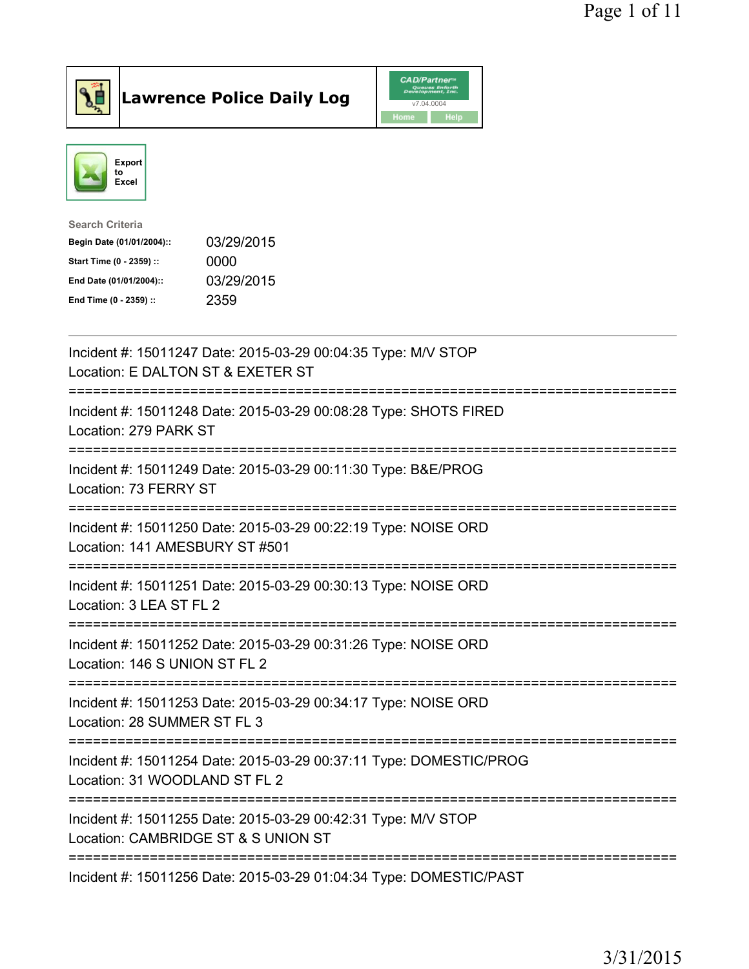

## $\vert$ Lawrence Police Daily Log

|      | <b>CAD/Partner</b> <sup>*</sup><br>Queues Enforth<br>Development, Inc. |
|------|------------------------------------------------------------------------|
|      | v7.04.0004                                                             |
| Home | Help                                                                   |



| Search Criteria           |            |
|---------------------------|------------|
| Begin Date (01/01/2004):: | 03/29/2015 |
| Start Time (0 - 2359) ::  | 0000       |
| End Date (01/01/2004)::   | 03/29/2015 |
| End Time (0 - 2359) ::    | 2359       |
|                           |            |

| Incident #: 15011247 Date: 2015-03-29 00:04:35 Type: M/V STOP<br>Location: E DALTON ST & EXETER ST                                                                       |
|--------------------------------------------------------------------------------------------------------------------------------------------------------------------------|
| Incident #: 15011248 Date: 2015-03-29 00:08:28 Type: SHOTS FIRED<br>Location: 279 PARK ST<br>;===================================<br>=================================== |
| Incident #: 15011249 Date: 2015-03-29 00:11:30 Type: B&E/PROG<br>Location: 73 FERRY ST                                                                                   |
| Incident #: 15011250 Date: 2015-03-29 00:22:19 Type: NOISE ORD<br>Location: 141 AMESBURY ST #501                                                                         |
| Incident #: 15011251 Date: 2015-03-29 00:30:13 Type: NOISE ORD<br>Location: 3 LEA ST FL 2                                                                                |
| Incident #: 15011252 Date: 2015-03-29 00:31:26 Type: NOISE ORD<br>Location: 146 S UNION ST FL 2                                                                          |
| Incident #: 15011253 Date: 2015-03-29 00:34:17 Type: NOISE ORD<br>Location: 28 SUMMER ST FL 3                                                                            |
| Incident #: 15011254 Date: 2015-03-29 00:37:11 Type: DOMESTIC/PROG<br>Location: 31 WOODLAND ST FL 2                                                                      |
| Incident #: 15011255 Date: 2015-03-29 00:42:31 Type: M/V STOP<br>Location: CAMBRIDGE ST & S UNION ST                                                                     |
| Incident #: 15011256 Date: 2015-03-29 01:04:34 Type: DOMESTIC/PAST                                                                                                       |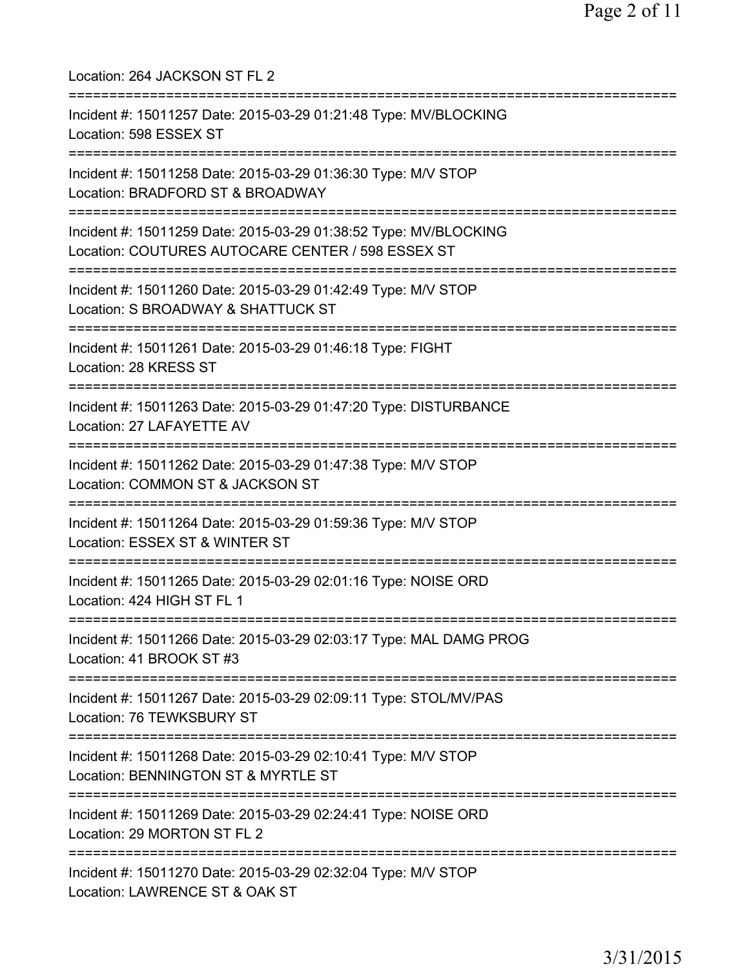Location: 264 JACKSON ST FL 2 =========================================================================== Incident #: 15011257 Date: 2015-03-29 01:21:48 Type: MV/BLOCKING Location: 598 ESSEX ST =========================================================================== Incident #: 15011258 Date: 2015-03-29 01:36:30 Type: M/V STOP Location: BRADFORD ST & BROADWAY =========================================================================== Incident #: 15011259 Date: 2015-03-29 01:38:52 Type: MV/BLOCKING Location: COUTURES AUTOCARE CENTER / 598 ESSEX ST =========================================================================== Incident #: 15011260 Date: 2015-03-29 01:42:49 Type: M/V STOP Location: S BROADWAY & SHATTUCK ST =========================================================================== Incident #: 15011261 Date: 2015-03-29 01:46:18 Type: FIGHT Location: 28 KRESS ST =========================================================================== Incident #: 15011263 Date: 2015-03-29 01:47:20 Type: DISTURBANCE Location: 27 LAFAYETTE AV =========================================================================== Incident #: 15011262 Date: 2015-03-29 01:47:38 Type: M/V STOP Location: COMMON ST & JACKSON ST =========================================================================== Incident #: 15011264 Date: 2015-03-29 01:59:36 Type: M/V STOP Location: ESSEX ST & WINTER ST =========================================================================== Incident #: 15011265 Date: 2015-03-29 02:01:16 Type: NOISE ORD Location: 424 HIGH ST FL 1 =========================================================================== Incident #: 15011266 Date: 2015-03-29 02:03:17 Type: MAL DAMG PROG Location: 41 BROOK ST #3 =========================================================================== Incident #: 15011267 Date: 2015-03-29 02:09:11 Type: STOL/MV/PAS Location: 76 TEWKSBURY ST =========================================================================== Incident #: 15011268 Date: 2015-03-29 02:10:41 Type: M/V STOP Location: BENNINGTON ST & MYRTLE ST =========================================================================== Incident #: 15011269 Date: 2015-03-29 02:24:41 Type: NOISE ORD Location: 29 MORTON ST FL 2 =========================================================================== Incident #: 15011270 Date: 2015-03-29 02:32:04 Type: M/V STOP Location: LAWRENCE ST & OAK ST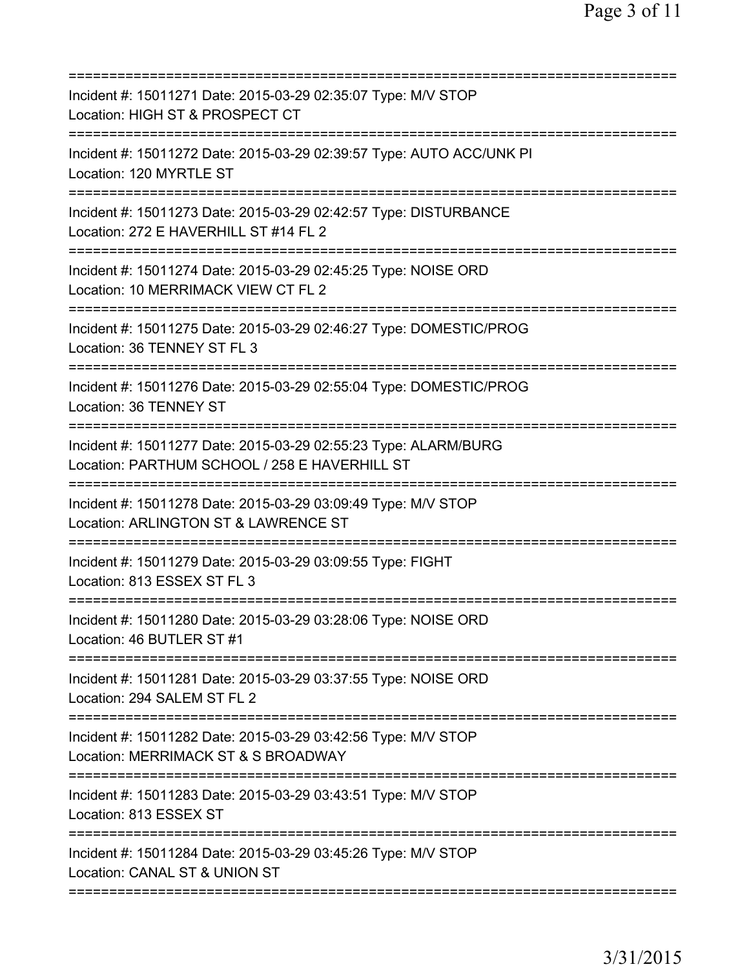| Incident #: 15011271 Date: 2015-03-29 02:35:07 Type: M/V STOP<br>Location: HIGH ST & PROSPECT CT                                       |
|----------------------------------------------------------------------------------------------------------------------------------------|
| Incident #: 15011272 Date: 2015-03-29 02:39:57 Type: AUTO ACC/UNK PI<br>Location: 120 MYRTLE ST                                        |
| Incident #: 15011273 Date: 2015-03-29 02:42:57 Type: DISTURBANCE<br>Location: 272 E HAVERHILL ST #14 FL 2<br>:======================== |
| Incident #: 15011274 Date: 2015-03-29 02:45:25 Type: NOISE ORD<br>Location: 10 MERRIMACK VIEW CT FL 2<br>=========================     |
| Incident #: 15011275 Date: 2015-03-29 02:46:27 Type: DOMESTIC/PROG<br>Location: 36 TENNEY ST FL 3                                      |
| =========<br>Incident #: 15011276 Date: 2015-03-29 02:55:04 Type: DOMESTIC/PROG<br>Location: 36 TENNEY ST                              |
| Incident #: 15011277 Date: 2015-03-29 02:55:23 Type: ALARM/BURG<br>Location: PARTHUM SCHOOL / 258 E HAVERHILL ST                       |
| Incident #: 15011278 Date: 2015-03-29 03:09:49 Type: M/V STOP<br>Location: ARLINGTON ST & LAWRENCE ST                                  |
| Incident #: 15011279 Date: 2015-03-29 03:09:55 Type: FIGHT<br>Location: 813 ESSEX ST FL 3                                              |
| =============<br>Incident #: 15011280 Date: 2015-03-29 03:28:06 Type: NOISE ORD<br>Location: 46 BUTLER ST #1                           |
| Incident #: 15011281 Date: 2015-03-29 03:37:55 Type: NOISE ORD<br>Location: 294 SALEM ST FL 2                                          |
| Incident #: 15011282 Date: 2015-03-29 03:42:56 Type: M/V STOP<br>Location: MERRIMACK ST & S BROADWAY                                   |
| Incident #: 15011283 Date: 2015-03-29 03:43:51 Type: M/V STOP<br>Location: 813 ESSEX ST                                                |
| Incident #: 15011284 Date: 2015-03-29 03:45:26 Type: M/V STOP<br>Location: CANAL ST & UNION ST                                         |
|                                                                                                                                        |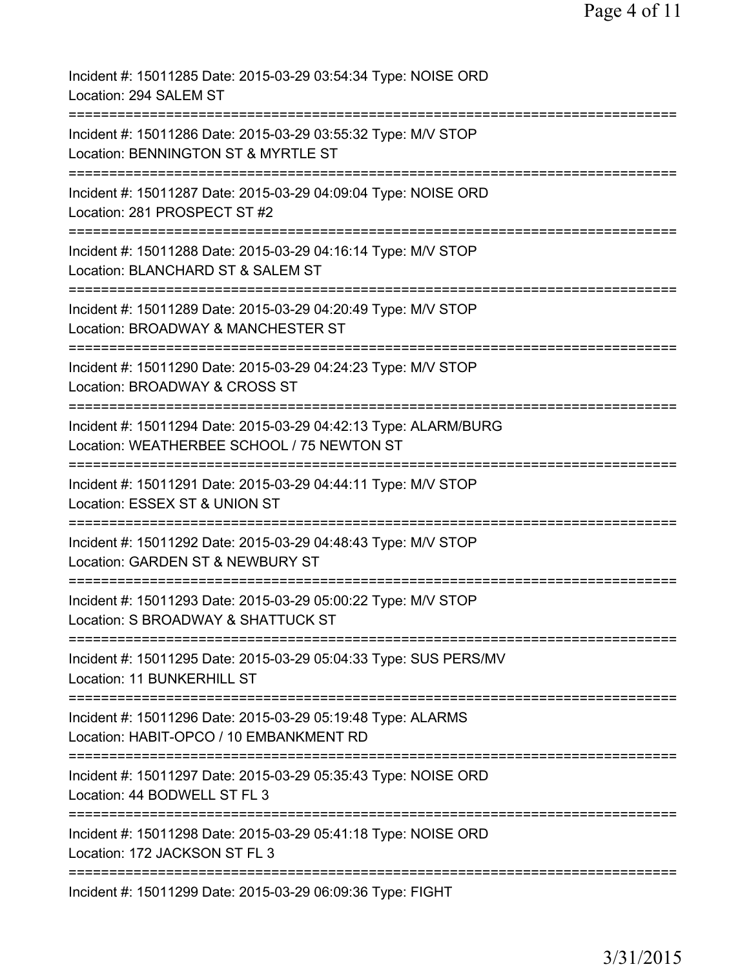| Incident #: 15011285 Date: 2015-03-29 03:54:34 Type: NOISE ORD<br>Location: 294 SALEM ST                                                                                      |
|-------------------------------------------------------------------------------------------------------------------------------------------------------------------------------|
| Incident #: 15011286 Date: 2015-03-29 03:55:32 Type: M/V STOP<br>Location: BENNINGTON ST & MYRTLE ST                                                                          |
| Incident #: 15011287 Date: 2015-03-29 04:09:04 Type: NOISE ORD<br>Location: 281 PROSPECT ST #2                                                                                |
| Incident #: 15011288 Date: 2015-03-29 04:16:14 Type: M/V STOP<br>Location: BLANCHARD ST & SALEM ST                                                                            |
| Incident #: 15011289 Date: 2015-03-29 04:20:49 Type: M/V STOP<br>Location: BROADWAY & MANCHESTER ST                                                                           |
| Incident #: 15011290 Date: 2015-03-29 04:24:23 Type: M/V STOP<br>Location: BROADWAY & CROSS ST                                                                                |
| Incident #: 15011294 Date: 2015-03-29 04:42:13 Type: ALARM/BURG<br>Location: WEATHERBEE SCHOOL / 75 NEWTON ST                                                                 |
| Incident #: 15011291 Date: 2015-03-29 04:44:11 Type: M/V STOP<br>Location: ESSEX ST & UNION ST<br>=========                                                                   |
| Incident #: 15011292 Date: 2015-03-29 04:48:43 Type: M/V STOP<br>Location: GARDEN ST & NEWBURY ST                                                                             |
| Incident #: 15011293 Date: 2015-03-29 05:00:22 Type: M/V STOP<br>Location: S BROADWAY & SHATTUCK ST                                                                           |
| ===============================<br>Incident #: 15011295 Date: 2015-03-29 05:04:33 Type: SUS PERS/MV<br>Location: 11 BUNKERHILL ST                                             |
| Incident #: 15011296 Date: 2015-03-29 05:19:48 Type: ALARMS<br>Location: HABIT-OPCO / 10 EMBANKMENT RD<br>==============================<br>================================= |
| Incident #: 15011297 Date: 2015-03-29 05:35:43 Type: NOISE ORD<br>Location: 44 BODWELL ST FL 3                                                                                |
| Incident #: 15011298 Date: 2015-03-29 05:41:18 Type: NOISE ORD<br>Location: 172 JACKSON ST FL 3                                                                               |
| Incident #: 15011299 Date: 2015-03-29 06:09:36 Type: FIGHT                                                                                                                    |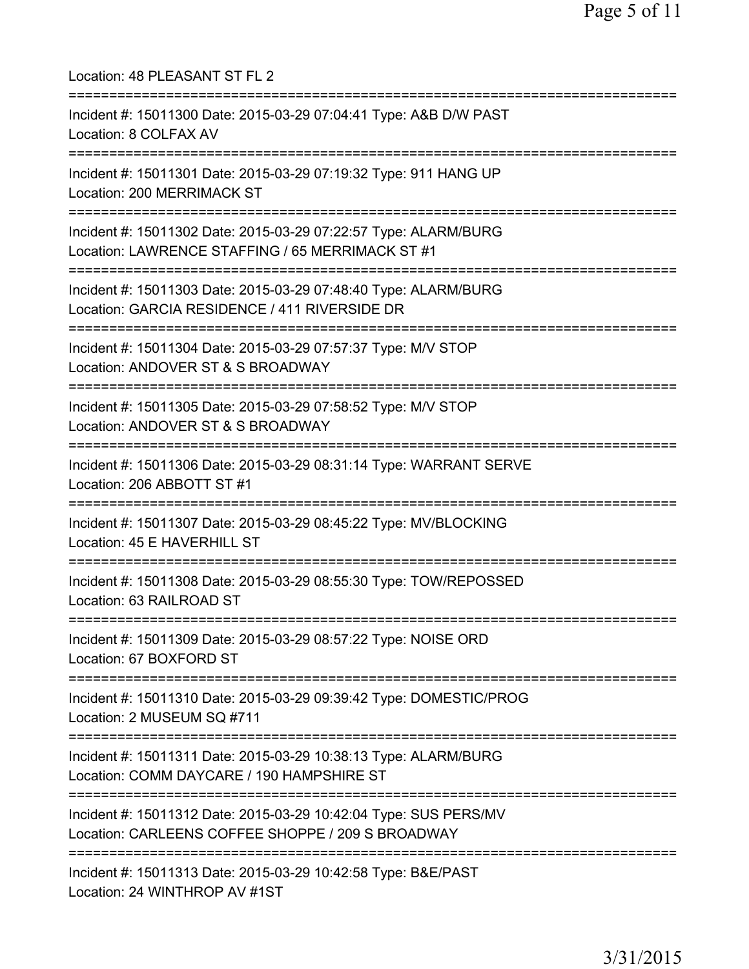| Location: 48 PLEASANT ST FL 2                                                                                                       |
|-------------------------------------------------------------------------------------------------------------------------------------|
| Incident #: 15011300 Date: 2015-03-29 07:04:41 Type: A&B D/W PAST<br>Location: 8 COLFAX AV                                          |
| Incident #: 15011301 Date: 2015-03-29 07:19:32 Type: 911 HANG UP<br>Location: 200 MERRIMACK ST<br>;================================ |
| Incident #: 15011302 Date: 2015-03-29 07:22:57 Type: ALARM/BURG<br>Location: LAWRENCE STAFFING / 65 MERRIMACK ST #1                 |
| Incident #: 15011303 Date: 2015-03-29 07:48:40 Type: ALARM/BURG<br>Location: GARCIA RESIDENCE / 411 RIVERSIDE DR                    |
| Incident #: 15011304 Date: 2015-03-29 07:57:37 Type: M/V STOP<br>Location: ANDOVER ST & S BROADWAY                                  |
| Incident #: 15011305 Date: 2015-03-29 07:58:52 Type: M/V STOP<br>Location: ANDOVER ST & S BROADWAY                                  |
| Incident #: 15011306 Date: 2015-03-29 08:31:14 Type: WARRANT SERVE<br>Location: 206 ABBOTT ST #1                                    |
| Incident #: 15011307 Date: 2015-03-29 08:45:22 Type: MV/BLOCKING<br>Location: 45 E HAVERHILL ST                                     |
| Incident #: 15011308 Date: 2015-03-29 08:55:30 Type: TOW/REPOSSED<br>Location: 63 RAILROAD ST                                       |
| Incident #: 15011309 Date: 2015-03-29 08:57:22 Type: NOISE ORD<br>Location: 67 BOXFORD ST                                           |
| Incident #: 15011310 Date: 2015-03-29 09:39:42 Type: DOMESTIC/PROG<br>Location: 2 MUSEUM SQ #711                                    |
| Incident #: 15011311 Date: 2015-03-29 10:38:13 Type: ALARM/BURG<br>Location: COMM DAYCARE / 190 HAMPSHIRE ST                        |
| Incident #: 15011312 Date: 2015-03-29 10:42:04 Type: SUS PERS/MV<br>Location: CARLEENS COFFEE SHOPPE / 209 S BROADWAY               |
| Incident #: 15011313 Date: 2015-03-29 10:42:58 Type: B&E/PAST<br>Location: 24 WINTHROP AV #1ST                                      |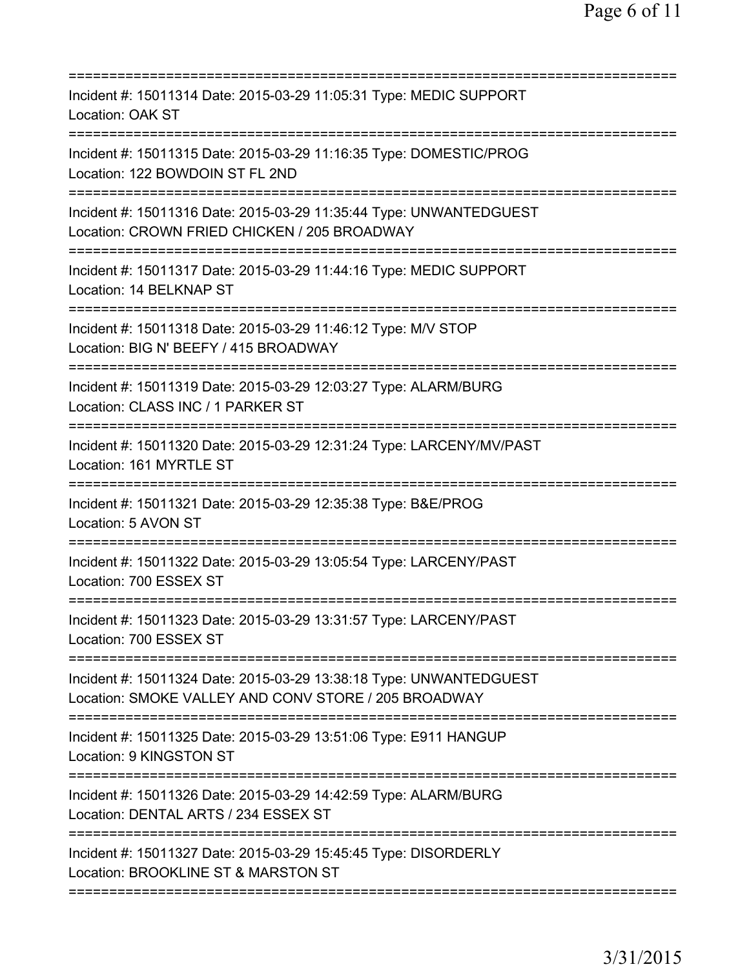| :===========                                                                                                                   |
|--------------------------------------------------------------------------------------------------------------------------------|
| Incident #: 15011314 Date: 2015-03-29 11:05:31 Type: MEDIC SUPPORT<br>Location: OAK ST                                         |
| Incident #: 15011315 Date: 2015-03-29 11:16:35 Type: DOMESTIC/PROG<br>Location: 122 BOWDOIN ST FL 2ND                          |
| Incident #: 15011316 Date: 2015-03-29 11:35:44 Type: UNWANTEDGUEST<br>Location: CROWN FRIED CHICKEN / 205 BROADWAY             |
| Incident #: 15011317 Date: 2015-03-29 11:44:16 Type: MEDIC SUPPORT<br>Location: 14 BELKNAP ST                                  |
| Incident #: 15011318 Date: 2015-03-29 11:46:12 Type: M/V STOP<br>Location: BIG N' BEEFY / 415 BROADWAY                         |
| Incident #: 15011319 Date: 2015-03-29 12:03:27 Type: ALARM/BURG<br>Location: CLASS INC / 1 PARKER ST<br>====================== |
| Incident #: 15011320 Date: 2015-03-29 12:31:24 Type: LARCENY/MV/PAST<br>Location: 161 MYRTLE ST                                |
| Incident #: 15011321 Date: 2015-03-29 12:35:38 Type: B&E/PROG<br>Location: 5 AVON ST                                           |
| Incident #: 15011322 Date: 2015-03-29 13:05:54 Type: LARCENY/PAST<br>Location: 700 ESSEX ST                                    |
| Incident #: 15011323 Date: 2015-03-29 13:31:57 Type: LARCENY/PAST<br>Location: 700 ESSEX ST                                    |
| Incident #: 15011324 Date: 2015-03-29 13:38:18 Type: UNWANTEDGUEST<br>Location: SMOKE VALLEY AND CONV STORE / 205 BROADWAY     |
| Incident #: 15011325 Date: 2015-03-29 13:51:06 Type: E911 HANGUP<br>Location: 9 KINGSTON ST                                    |
| Incident #: 15011326 Date: 2015-03-29 14:42:59 Type: ALARM/BURG<br>Location: DENTAL ARTS / 234 ESSEX ST                        |
| Incident #: 15011327 Date: 2015-03-29 15:45:45 Type: DISORDERLY<br>Location: BROOKLINE ST & MARSTON ST                         |
|                                                                                                                                |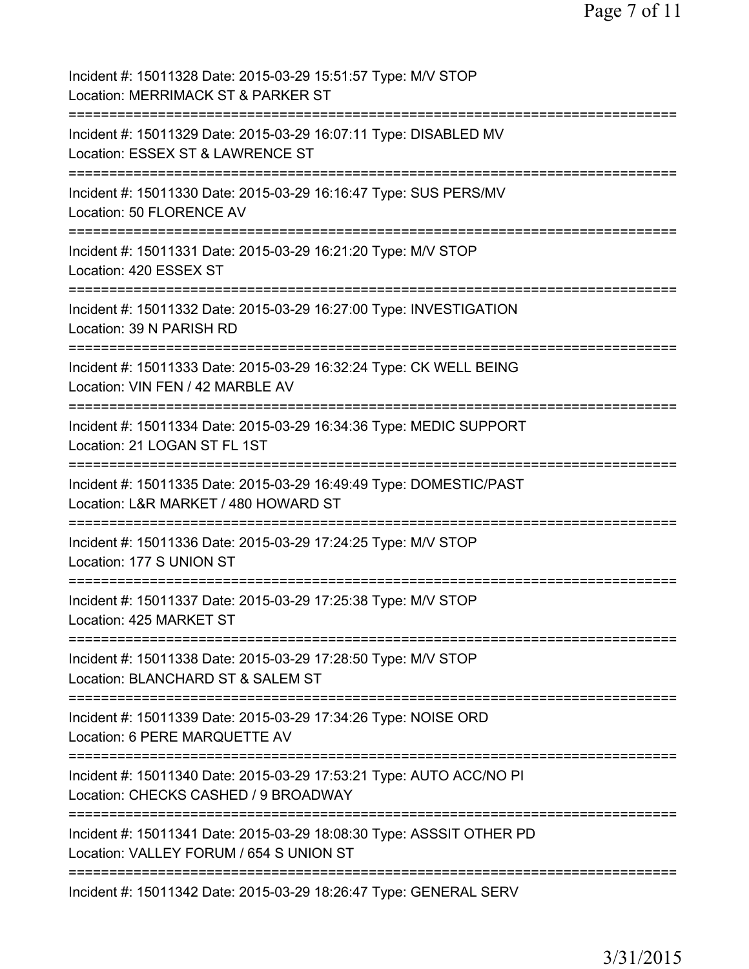Page 7 of 11

Incident #: 15011328 Date: 2015-03-29 15:51:57 Type: M/V STOP Location: MERRIMACK ST & PARKER ST =========================================================================== Incident #: 15011329 Date: 2015-03-29 16:07:11 Type: DISABLED MV Location: ESSEX ST & LAWRENCE ST =========================================================================== Incident #: 15011330 Date: 2015-03-29 16:16:47 Type: SUS PERS/MV Location: 50 FLORENCE AV =========================================================================== Incident #: 15011331 Date: 2015-03-29 16:21:20 Type: M/V STOP Location: 420 ESSEX ST =========================================================================== Incident #: 15011332 Date: 2015-03-29 16:27:00 Type: INVESTIGATION Location: 39 N PARISH RD =========================================================================== Incident #: 15011333 Date: 2015-03-29 16:32:24 Type: CK WELL BEING Location: VIN FEN / 42 MARBLE AV =========================================================================== Incident #: 15011334 Date: 2015-03-29 16:34:36 Type: MEDIC SUPPORT Location: 21 LOGAN ST FL 1ST =========================================================================== Incident #: 15011335 Date: 2015-03-29 16:49:49 Type: DOMESTIC/PAST Location: L&R MARKET / 480 HOWARD ST =========================================================================== Incident #: 15011336 Date: 2015-03-29 17:24:25 Type: M/V STOP Location: 177 S UNION ST =========================================================================== Incident #: 15011337 Date: 2015-03-29 17:25:38 Type: M/V STOP Location: 425 MARKET ST =========================================================================== Incident #: 15011338 Date: 2015-03-29 17:28:50 Type: M/V STOP Location: BLANCHARD ST & SALEM ST =========================================================================== Incident #: 15011339 Date: 2015-03-29 17:34:26 Type: NOISE ORD Location: 6 PERE MARQUETTE AV =========================================================================== Incident #: 15011340 Date: 2015-03-29 17:53:21 Type: AUTO ACC/NO PI Location: CHECKS CASHED / 9 BROADWAY =========================================================================== Incident #: 15011341 Date: 2015-03-29 18:08:30 Type: ASSSIT OTHER PD Location: VALLEY FORUM / 654 S UNION ST =========================================================================== Incident #: 15011342 Date: 2015-03-29 18:26:47 Type: GENERAL SERV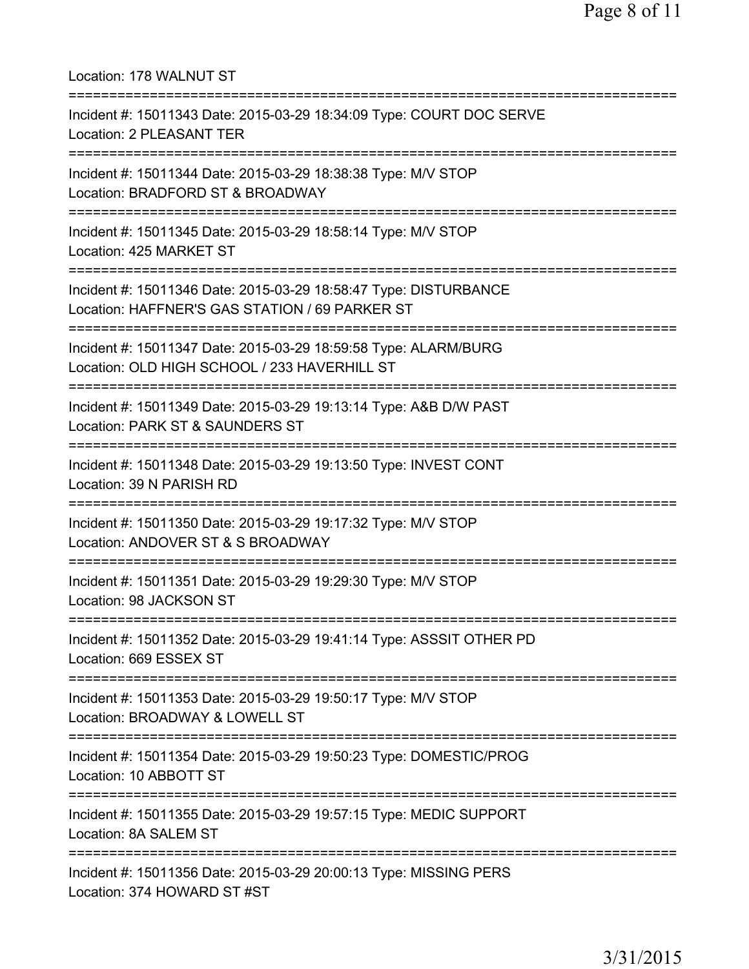| Location: 178 WALNUT ST                                                                                                                                   |
|-----------------------------------------------------------------------------------------------------------------------------------------------------------|
| Incident #: 15011343 Date: 2015-03-29 18:34:09 Type: COURT DOC SERVE<br>Location: 2 PLEASANT TER                                                          |
| Incident #: 15011344 Date: 2015-03-29 18:38:38 Type: M/V STOP<br>Location: BRADFORD ST & BROADWAY<br>====================================                 |
| Incident #: 15011345 Date: 2015-03-29 18:58:14 Type: M/V STOP<br>Location: 425 MARKET ST                                                                  |
| Incident #: 15011346 Date: 2015-03-29 18:58:47 Type: DISTURBANCE<br>Location: HAFFNER'S GAS STATION / 69 PARKER ST                                        |
| ======================================<br>Incident #: 15011347 Date: 2015-03-29 18:59:58 Type: ALARM/BURG<br>Location: OLD HIGH SCHOOL / 233 HAVERHILL ST |
| Incident #: 15011349 Date: 2015-03-29 19:13:14 Type: A&B D/W PAST<br>Location: PARK ST & SAUNDERS ST                                                      |
| Incident #: 15011348 Date: 2015-03-29 19:13:50 Type: INVEST CONT<br>Location: 39 N PARISH RD                                                              |
| Incident #: 15011350 Date: 2015-03-29 19:17:32 Type: M/V STOP<br>Location: ANDOVER ST & S BROADWAY                                                        |
| Incident #: 15011351 Date: 2015-03-29 19:29:30 Type: M/V STOP<br>Location: 98 JACKSON ST                                                                  |
| Incident #: 15011352 Date: 2015-03-29 19:41:14 Type: ASSSIT OTHER PD<br>Location: 669 ESSEX ST                                                            |
| Incident #: 15011353 Date: 2015-03-29 19:50:17 Type: M/V STOP<br>Location: BROADWAY & LOWELL ST                                                           |
| Incident #: 15011354 Date: 2015-03-29 19:50:23 Type: DOMESTIC/PROG<br>Location: 10 ABBOTT ST                                                              |
| =====================<br>Incident #: 15011355 Date: 2015-03-29 19:57:15 Type: MEDIC SUPPORT<br>Location: 8A SALEM ST                                      |
| Incident #: 15011356 Date: 2015-03-29 20:00:13 Type: MISSING PERS<br>Location: 374 HOWARD ST #ST                                                          |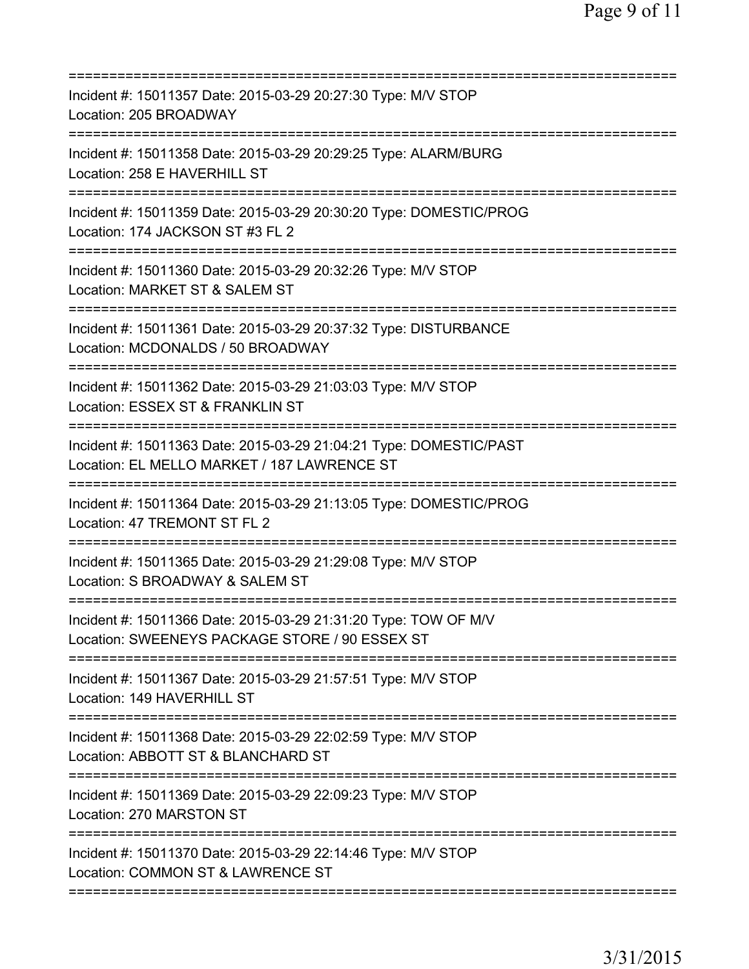| Incident #: 15011357 Date: 2015-03-29 20:27:30 Type: M/V STOP<br>Location: 205 BROADWAY                                             |
|-------------------------------------------------------------------------------------------------------------------------------------|
| Incident #: 15011358 Date: 2015-03-29 20:29:25 Type: ALARM/BURG<br>Location: 258 E HAVERHILL ST                                     |
| Incident #: 15011359 Date: 2015-03-29 20:30:20 Type: DOMESTIC/PROG<br>Location: 174 JACKSON ST #3 FL 2                              |
| Incident #: 15011360 Date: 2015-03-29 20:32:26 Type: M/V STOP<br>Location: MARKET ST & SALEM ST<br>=========================        |
| Incident #: 15011361 Date: 2015-03-29 20:37:32 Type: DISTURBANCE<br>Location: MCDONALDS / 50 BROADWAY                               |
| ==============================<br>Incident #: 15011362 Date: 2015-03-29 21:03:03 Type: M/V STOP<br>Location: ESSEX ST & FRANKLIN ST |
| Incident #: 15011363 Date: 2015-03-29 21:04:21 Type: DOMESTIC/PAST<br>Location: EL MELLO MARKET / 187 LAWRENCE ST                   |
| Incident #: 15011364 Date: 2015-03-29 21:13:05 Type: DOMESTIC/PROG<br>Location: 47 TREMONT ST FL 2                                  |
| Incident #: 15011365 Date: 2015-03-29 21:29:08 Type: M/V STOP<br>Location: S BROADWAY & SALEM ST                                    |
| Incident #: 15011366 Date: 2015-03-29 21:31:20 Type: TOW OF M/V<br>Location: SWEENEYS PACKAGE STORE / 90 ESSEX ST                   |
| Incident #: 15011367 Date: 2015-03-29 21:57:51 Type: M/V STOP<br>Location: 149 HAVERHILL ST                                         |
| Incident #: 15011368 Date: 2015-03-29 22:02:59 Type: M/V STOP<br>Location: ABBOTT ST & BLANCHARD ST                                 |
| Incident #: 15011369 Date: 2015-03-29 22:09:23 Type: M/V STOP<br>Location: 270 MARSTON ST                                           |
| Incident #: 15011370 Date: 2015-03-29 22:14:46 Type: M/V STOP<br>Location: COMMON ST & LAWRENCE ST                                  |
|                                                                                                                                     |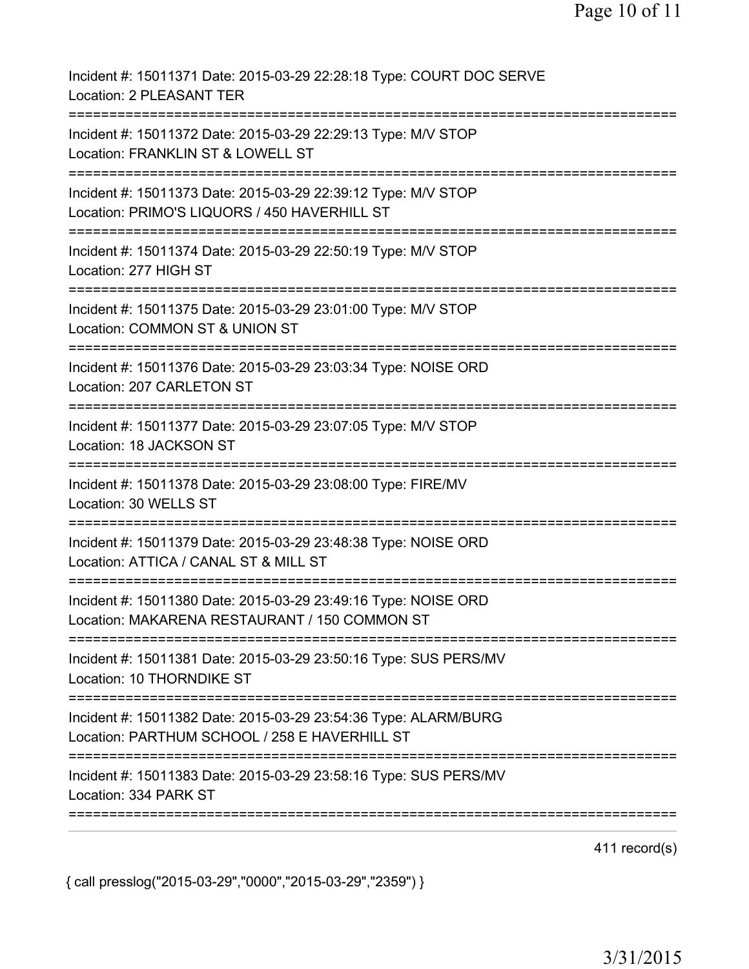| Incident #: 15011371 Date: 2015-03-29 22:28:18 Type: COURT DOC SERVE<br>Location: 2 PLEASANT TER                                                   |
|----------------------------------------------------------------------------------------------------------------------------------------------------|
| Incident #: 15011372 Date: 2015-03-29 22:29:13 Type: M/V STOP<br>Location: FRANKLIN ST & LOWELL ST                                                 |
| Incident #: 15011373 Date: 2015-03-29 22:39:12 Type: M/V STOP<br>Location: PRIMO'S LIQUORS / 450 HAVERHILL ST<br>:================================ |
| Incident #: 15011374 Date: 2015-03-29 22:50:19 Type: M/V STOP<br>Location: 277 HIGH ST                                                             |
| Incident #: 15011375 Date: 2015-03-29 23:01:00 Type: M/V STOP<br>Location: COMMON ST & UNION ST                                                    |
| Incident #: 15011376 Date: 2015-03-29 23:03:34 Type: NOISE ORD<br>Location: 207 CARLETON ST                                                        |
| Incident #: 15011377 Date: 2015-03-29 23:07:05 Type: M/V STOP<br>Location: 18 JACKSON ST                                                           |
| Incident #: 15011378 Date: 2015-03-29 23:08:00 Type: FIRE/MV<br>Location: 30 WELLS ST                                                              |
| Incident #: 15011379 Date: 2015-03-29 23:48:38 Type: NOISE ORD<br>Location: ATTICA / CANAL ST & MILL ST                                            |
| Incident #: 15011380 Date: 2015-03-29 23:49:16 Type: NOISE ORD<br>Location: MAKARENA RESTAURANT / 150 COMMON ST                                    |
| Incident #: 15011381 Date: 2015-03-29 23:50:16 Type: SUS PERS/MV<br>Location: 10 THORNDIKE ST                                                      |
| Incident #: 15011382 Date: 2015-03-29 23:54:36 Type: ALARM/BURG<br>Location: PARTHUM SCHOOL / 258 E HAVERHILL ST                                   |
| Incident #: 15011383 Date: 2015-03-29 23:58:16 Type: SUS PERS/MV<br>Location: 334 PARK ST                                                          |
|                                                                                                                                                    |

411 record(s)

{ call presslog("2015-03-29","0000","2015-03-29","2359") }